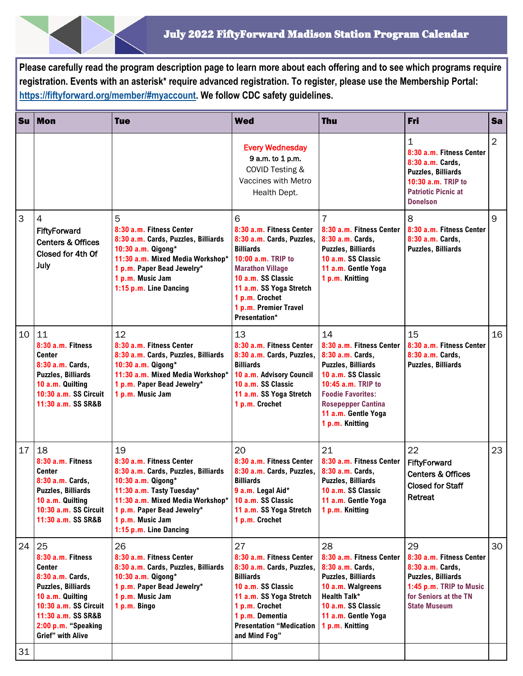**Please carefully read the program description page to learn more about each offering and to see which programs require registration. Events with an asterisk\* require advanced registration. To register, please use the Membership Portal: [https://fiftyforward.org/member/#myaccount.](https://fiftyforward.org/member/#myaccount) We follow CDC safety guidelines.** 

| <b>Su</b> | <b>Mon</b>                                                                                                                                                                                               | <b>Tue</b>                                                                                                                                                                                                                               | <b>Wed</b>                                                                                                                                                                                                                                   | <b>Thu</b>                                                                                                                                                                                                                     | Fri                                                                                                                                                        | <b>Sa</b>      |
|-----------|----------------------------------------------------------------------------------------------------------------------------------------------------------------------------------------------------------|------------------------------------------------------------------------------------------------------------------------------------------------------------------------------------------------------------------------------------------|----------------------------------------------------------------------------------------------------------------------------------------------------------------------------------------------------------------------------------------------|--------------------------------------------------------------------------------------------------------------------------------------------------------------------------------------------------------------------------------|------------------------------------------------------------------------------------------------------------------------------------------------------------|----------------|
|           |                                                                                                                                                                                                          |                                                                                                                                                                                                                                          | <b>Every Wednesday</b><br>9 a.m. to 1 p.m.<br>COVID Testing &<br>Vaccines with Metro<br>Health Dept.                                                                                                                                         |                                                                                                                                                                                                                                | 1<br>8:30 a.m. Fitness Center<br>8:30 a.m. Cards,<br><b>Puzzles, Billiards</b><br>10:30 a.m. TRIP to<br><b>Patriotic Picnic at</b><br><b>Donelson</b>      | $\overline{2}$ |
| 3         | 4<br>FiftyForward<br><b>Centers &amp; Offices</b><br>Closed for 4th Of<br>July                                                                                                                           | 5<br>8:30 a.m. Fitness Center<br>8:30 a.m. Cards, Puzzles, Billiards<br>10:30 a.m. Qigong*<br>11:30 a.m. Mixed Media Workshop*<br>1 p.m. Paper Bead Jewelry*<br>1 p.m. Music Jam<br>1:15 p.m. Line Dancing                               | 6<br>8:30 a.m. Fitness Center<br>8:30 a.m. Cards, Puzzles,<br><b>Billiards</b><br>10:00 a.m. TRIP to<br><b>Marathon Village</b><br>10 a.m. SS Classic<br>11 a.m. SS Yoga Stretch<br>1 p.m. Crochet<br>1 p.m. Premier Travel<br>Presentation* | 7<br>8:30 a.m. Fitness Center<br>8:30 a.m. Cards,<br><b>Puzzles, Billiards</b><br>10 a.m. SS Classic<br>11 a.m. Gentle Yoga<br>1 p.m. Knitting                                                                                 | 8<br>8:30 a.m. Fitness Center<br>8:30 a.m. Cards,<br><b>Puzzles, Billiards</b>                                                                             | 9              |
| 10        | 11<br>8:30 a.m. Fitness<br><b>Center</b><br>8:30 a.m. Cards,<br><b>Puzzles, Billiards</b><br>10 a.m. Quilting<br>10:30 a.m. SS Circuit<br>11:30 a.m. SS SR&B                                             | 12<br>8:30 a.m. Fitness Center<br>8:30 a.m. Cards, Puzzles, Billiards<br>10:30 a.m. Qigong*<br>11:30 a.m. Mixed Media Workshop*<br>1 p.m. Paper Bead Jewelry*<br>1 p.m. Music Jam                                                        | 13<br>8:30 a.m. Fitness Center<br>8:30 a.m. Cards, Puzzles,<br><b>Billiards</b><br>10 a.m. Advisory Council<br>10 a.m. SS Classic<br>11 a.m. SS Yoga Stretch<br>1 p.m. Crochet                                                               | 14<br>8:30 a.m. Fitness Center<br>8:30 a.m. Cards,<br><b>Puzzles, Billiards</b><br>10 a.m. SS Classic<br>10:45 a.m. TRIP to<br><b>Foodie Favorites:</b><br><b>Rosepepper Cantina</b><br>11 a.m. Gentle Yoga<br>1 p.m. Knitting | 15<br>8:30 a.m. Fitness Center<br>8:30 a.m. Cards,<br><b>Puzzles, Billiards</b>                                                                            | 16             |
| 17        | 18<br>8:30 a.m. Fitness<br><b>Center</b><br>8:30 a.m. Cards,<br><b>Puzzles, Billiards</b><br>10 a.m. Quilting<br>10:30 a.m. SS Circuit<br>11:30 a.m. SS SR&B                                             | 19<br>8:30 a.m. Fitness Center<br>8:30 a.m. Cards, Puzzles, Billiards<br>10:30 a.m. Qigong*<br>11:30 a.m. Tasty Tuesday*<br>11:30 a.m. Mixed Media Workshop*<br>1 p.m. Paper Bead Jewelry*<br>1 p.m. Music Jam<br>1:15 p.m. Line Dancing | 20<br>8:30 a.m. Fitness Center<br>8:30 a.m. Cards, Puzzles,<br><b>Billiards</b><br>9 a.m. Legal Aid*<br>10 a.m. SS Classic<br>11 a.m. SS Yoga Stretch<br>1 p.m. Crochet                                                                      | 21<br>8:30 a.m. Fitness Center<br>8:30 a.m. Cards,<br><b>Puzzles, Billiards</b><br>10 a.m. SS Classic<br>11 a.m. Gentle Yoga<br>1 p.m. Knitting                                                                                | 22<br>FiftyForward<br><b>Centers &amp; Offices</b><br><b>Closed for Staff</b><br>Retreat                                                                   | 23             |
| 24        | 25<br>8:30 a.m. Fitness<br>Center<br>8:30 a.m. Cards,<br><b>Puzzles, Billiards</b><br>10 a.m. Quilting<br>10:30 a.m. SS Circuit<br>11:30 a.m. SS SR&B<br>2:00 p.m. "Speaking<br><b>Grief" with Alive</b> | 26<br>8:30 a.m. Fitness Center<br>8:30 a.m. Cards, Puzzles, Billiards<br>10:30 a.m. Qigong*<br>1 p.m. Paper Bead Jewelry*<br>1 p.m. Music Jam<br>1 p.m. Bingo                                                                            | 27<br>8:30 a.m. Fitness Center<br>8:30 a.m. Cards, Puzzles,<br><b>Billiards</b><br>10 a.m. SS Classic<br>11 a.m. SS Yoga Stretch<br>1 p.m. Crochet<br>1 p.m. Dementia<br><b>Presentation "Medication</b><br>and Mind Fog"                    | 28<br>8:30 a.m. Fitness Center<br>8:30 a.m. Cards,<br><b>Puzzles, Billiards</b><br>10 a.m. Walgreens<br><b>Health Talk*</b><br>10 a.m. SS Classic<br>11 a.m. Gentle Yoga<br>1 p.m. Knitting                                    | 29<br>8:30 a.m. Fitness Center<br>8:30 a.m. Cards,<br><b>Puzzles, Billiards</b><br>1:45 p.m. TRIP to Music<br>for Seniors at the TN<br><b>State Museum</b> | 30             |
| 31        |                                                                                                                                                                                                          |                                                                                                                                                                                                                                          |                                                                                                                                                                                                                                              |                                                                                                                                                                                                                                |                                                                                                                                                            |                |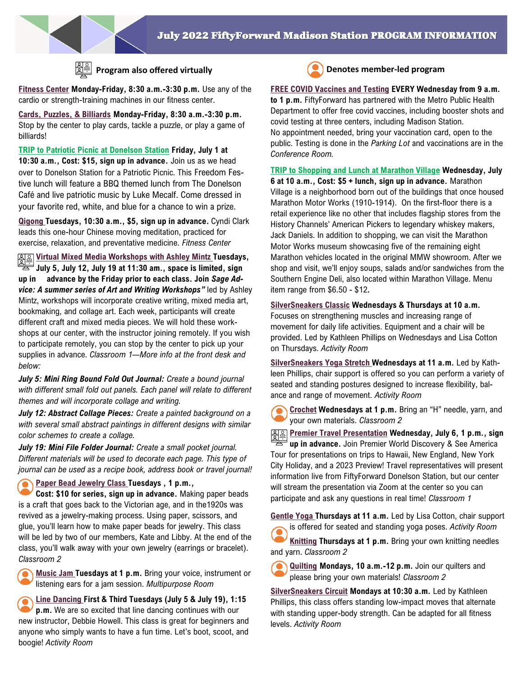

# **Program also offered virtually Denotes member-led program**

**Fitness Center Monday-Friday, 8:30 a.m.-3:30 p.m.** Use any of the cardio or strength-training machines in our fitness center.

**Cards, Puzzles, & Billiards Monday-Friday, 8:30 a.m.-3:30 p.m.**  Stop by the center to play cards, tackle a puzzle, or play a game of billiards!

**TRIP to Patriotic Picnic at Donelson Station Friday, July 1 at 10:30 a.m., Cost: \$15, sign up in advance.** Join us as we head over to Donelson Station for a Patriotic Picnic. This Freedom Festive lunch will feature a BBQ themed lunch from The Donelson Café and live patriotic music by Luke Mecalf. Come dressed in your favorite red, white, and blue for a chance to win a prize.

**Qigong Tuesdays, 10:30 a.m., \$5, sign up in advance.** Cyndi Clark leads this one-hour Chinese moving meditation, practiced for exercise, relaxation, and preventative medicine. *Fitness Center*

**Virtual Mixed Media Workshops with Ashley Mintz Tuesdays, July 5, July 12, July 19 at 11:30 am., space is limited, sign up in advance by the Friday prior to each class. Join** *Sage Advice: A summer series of Art and Writing Workshops"* led by Ashley Mintz, workshops will incorporate creative writing, mixed media art, bookmaking, and collage art. Each week, participants will create different craft and mixed media pieces. We will hold these workshops at our center, with the instructor joining remotely. If you wish to participate remotely, you can stop by the center to pick up your supplies in advance. *Classroom 1—More info at the front desk and below:* 

*July 5: Mini Ring Bound Fold Out Journal: Create a bound journal*  with different small fold out panels. Each panel will relate to different *themes and will incorporate collage and writing.*

*July 12: Abstract Collage Pieces: Create a painted background on a with several small abstract paintings in different designs with similar color schemes to create a collage.*

*July 19: Mini File Folder Journal: Create a small pocket journal. Different materials will be used to decorate each page. This type of journal can be used as a recipe book, address book or travel journal!*

### **Paper Bead Jewelry Class Tuesdays , 1 p.m.,**   $\bullet$

**Cost: \$10 for series, sign up in advance.** Making paper beads is a craft that goes back to the Victorian age, and in the1920s was revived as a jewelry-making process. Using paper, scissors, and glue, you'll learn how to make paper beads for jewelry. This class will be led by two of our members, Kate and Libby. At the end of the class, you'll walk away with your own jewelry (earrings or bracelet). *Classroom 2*

**Music Jam Tuesdays at 1 p.m.** Bring your voice, instrument or listening ears for a jam session. *Multipurpose Room*

**Line Dancing First & Third Tuesdays (July 5 & July 19), 1:15 p.m.** We are so excited that line dancing continues with our new instructor, Debbie Howell. This class is great for beginners and anyone who simply wants to have a fun time. Let's boot, scoot, and boogie! *Activity Room* 



## **FREE COVID Vaccines and Testing EVERY Wednesday from 9 a.m.**

**to 1 p.m.** FiftyForward has partnered with the Metro Public Health Department to offer free covid vaccines, including booster shots and covid testing at three centers, including Madison Station. No appointment needed, bring your vaccination card, open to the public. Testing is done in the *Parking Lot* and vaccinations are in the *Conference Room.*

**TRIP to Shopping and Lunch at Marathon Village Wednesday, July 6 at 10 a.m., Cost: \$5 + lunch, sign up in advance.** Marathon Village is a neighborhood born out of the buildings that once housed Marathon Motor Works (1910-1914). On the first-floor there is a retail experience like no other that includes flagship stores from the History Channels' American Pickers to legendary whiskey makers, Jack Daniels. In addition to shopping, we can visit the Marathon Motor Works museum showcasing five of the remaining eight Marathon vehicles located in the original MMW showroom. After we shop and visit, we'll enjoy soups, salads and/or sandwiches from the Southern Engine Deli, also located within Marathon Village. Menu item range from \$6.50 - \$12*.*

**SilverSneakers Classic Wednesdays & Thursdays at 10 a.m.**  Focuses on strengthening muscles and increasing range of movement for daily life activities. Equipment and a chair will be provided. Led by Kathleen Phillips on Wednesdays and Lisa Cotton on Thursdays. *Activity Room*

**SilverSneakers Yoga Stretch Wednesdays at 11 a.m.** Led by Kathleen Phillips, chair support is offered so you can perform a variety of seated and standing postures designed to increase flexibility, balance and range of movement. *Activity Room*

**Crochet Wednesdays at 1 p.m.** Bring an "H" needle, yarn, and your own materials. *Classroom 2*

**Premier Travel Presentation Wednesday, July 6, 1 p.m., sign up in advance.** Join Premier World Discovery & See America Tour for presentations on trips to Hawaii, New England, New York City Holiday, and a 2023 Preview! Travel representatives will present information live from FiftyForward Donelson Station, but our center will stream the presentation via Zoom at the center so you can participate and ask any questions in real time! *Classroom 1*

**Gentle Yoga Thursdays at 11 a.m.** Led by Lisa Cotton, chair support is offered for seated and standing yoga poses. *Activity Room*

**Knitting Thursdays at 1 p.m.** Bring your own knitting needles and yarn. *Classroom 2*

**Quilting Mondays, 10 a.m.-12 p.m.** Join our quilters and please bring your own materials! *Classroom 2*

**SilverSneakers Circuit Mondays at 10:30 a.m.** Led by Kathleen Phillips, this class offers standing low-impact moves that alternate with standing upper-body strength. Can be adapted for all fitness levels. *Activity Room*